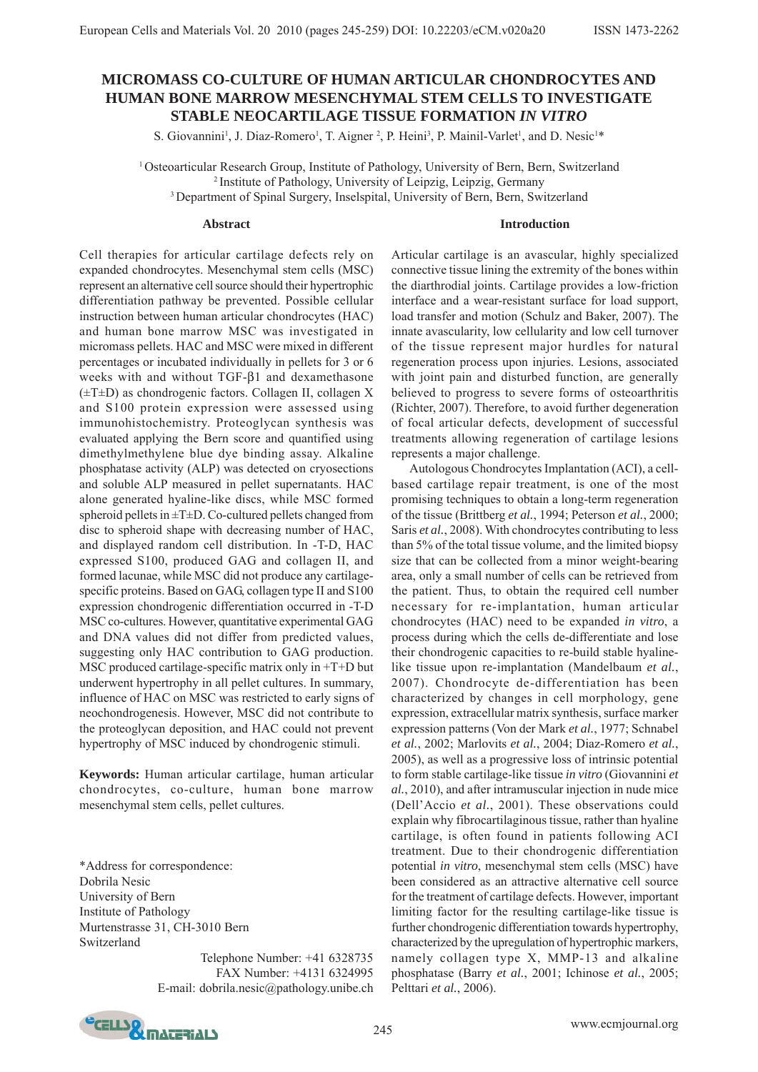## **MICROMASS CO-CULTURE OF HUMAN ARTICULAR CHONDROCYTES AND HUMAN BONE MARROW MESENCHYMAL STEM CELLS TO INVESTIGATE STABLE NEOCARTILAGE TISSUE FORMATION** *IN VITRO*

S. Giovannini<sup>1</sup>, J. Diaz-Romero<sup>1</sup>, T. Aigner<sup>2</sup>, P. Heini<sup>3</sup>, P. Mainil-Varlet<sup>1</sup>, and D. Nesic<sup>1\*</sup>

1 Osteoarticular Research Group, Institute of Pathology, University of Bern, Bern, Switzerland 2 Institute of Pathology, University of Leipzig, Leipzig, Germany <sup>3</sup> Department of Spinal Surgery, Inselspital, University of Bern, Bern, Switzerland

#### **Abstract**

**Introduction**

Cell therapies for articular cartilage defects rely on expanded chondrocytes. Mesenchymal stem cells (MSC) represent an alternative cell source should their hypertrophic differentiation pathway be prevented. Possible cellular instruction between human articular chondrocytes (HAC) and human bone marrow MSC was investigated in micromass pellets. HAC and MSC were mixed in different percentages or incubated individually in pellets for 3 or 6 weeks with and without TGF-β1 and dexamethasone (±T±D) as chondrogenic factors. Collagen II, collagen X and S100 protein expression were assessed using immunohistochemistry. Proteoglycan synthesis was evaluated applying the Bern score and quantified using dimethylmethylene blue dye binding assay. Alkaline phosphatase activity (ALP) was detected on cryosections and soluble ALP measured in pellet supernatants. HAC alone generated hyaline-like discs, while MSC formed spheroid pellets in  $\pm$ T $\pm$ D. Co-cultured pellets changed from disc to spheroid shape with decreasing number of HAC, and displayed random cell distribution. In -T-D, HAC expressed S100, produced GAG and collagen II, and formed lacunae, while MSC did not produce any cartilagespecific proteins. Based on GAG, collagen type II and S100 expression chondrogenic differentiation occurred in -T-D MSC co-cultures. However, quantitative experimental GAG and DNA values did not differ from predicted values, suggesting only HAC contribution to GAG production. MSC produced cartilage-specific matrix only in +T+D but underwent hypertrophy in all pellet cultures. In summary, influence of HAC on MSC was restricted to early signs of neochondrogenesis. However, MSC did not contribute to the proteoglycan deposition, and HAC could not prevent hypertrophy of MSC induced by chondrogenic stimuli.

**Keywords:** Human articular cartilage, human articular chondrocytes, co-culture, human bone marrow mesenchymal stem cells, pellet cultures.

\*Address for correspondence: Dobrila Nesic University of Bern Institute of Pathology Murtenstrasse 31, CH-3010 Bern Switzerland

> Telephone Number: +41 6328735 FAX Number: +4131 6324995 E-mail: dobrila.nesic@pathology.unibe.ch

Articular cartilage is an avascular, highly specialized connective tissue lining the extremity of the bones within the diarthrodial joints. Cartilage provides a low-friction interface and a wear-resistant surface for load support, load transfer and motion (Schulz and Baker, 2007). The innate avascularity, low cellularity and low cell turnover of the tissue represent major hurdles for natural regeneration process upon injuries. Lesions, associated with joint pain and disturbed function, are generally believed to progress to severe forms of osteoarthritis (Richter, 2007). Therefore, to avoid further degeneration of focal articular defects, development of successful treatments allowing regeneration of cartilage lesions represents a major challenge.

Autologous Chondrocytes Implantation (ACI), a cellbased cartilage repair treatment, is one of the most promising techniques to obtain a long-term regeneration of the tissue (Brittberg *et al.*, 1994; Peterson *et al.*, 2000; Saris *et al.*, 2008). With chondrocytes contributing to less than 5% of the total tissue volume, and the limited biopsy size that can be collected from a minor weight-bearing area, only a small number of cells can be retrieved from the patient. Thus, to obtain the required cell number necessary for re-implantation, human articular chondrocytes (HAC) need to be expanded *in vitro*, a process during which the cells de-differentiate and lose their chondrogenic capacities to re-build stable hyalinelike tissue upon re-implantation (Mandelbaum *et al.*, 2007). Chondrocyte de-differentiation has been characterized by changes in cell morphology, gene expression, extracellular matrix synthesis, surface marker expression patterns (Von der Mark *et al.*, 1977; Schnabel *et al.*, 2002; Marlovits *et al.*, 2004; Diaz-Romero *et al.*, 2005), as well as a progressive loss of intrinsic potential to form stable cartilage-like tissue *in vitro* (Giovannini *et al.*, 2010), and after intramuscular injection in nude mice (Dell'Accio *et al.*, 2001). These observations could explain why fibrocartilaginous tissue, rather than hyaline cartilage, is often found in patients following ACI treatment. Due to their chondrogenic differentiation potential *in vitro*, mesenchymal stem cells (MSC) have been considered as an attractive alternative cell source for the treatment of cartilage defects. However, important limiting factor for the resulting cartilage-like tissue is further chondrogenic differentiation towards hypertrophy, characterized by the upregulation of hypertrophic markers, namely collagen type X, MMP-13 and alkaline phosphatase (Barry *et al.*, 2001; Ichinose *et al.*, 2005; Pelttari *et al.*, 2006).

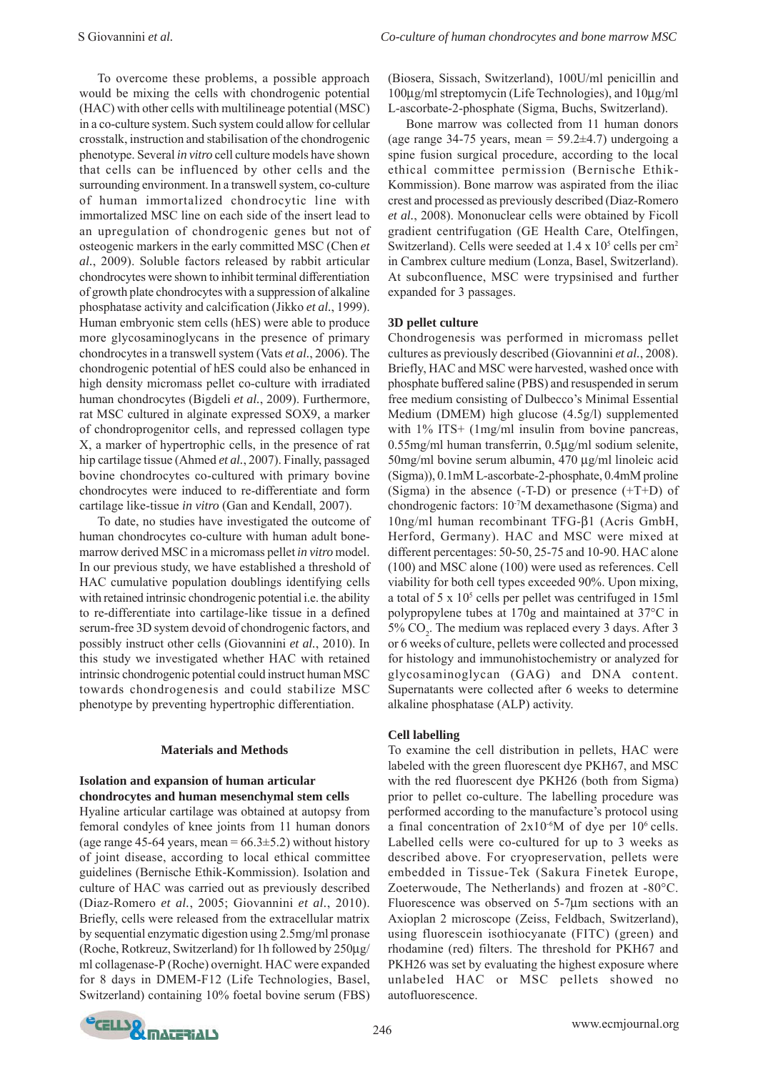To overcome these problems, a possible approach would be mixing the cells with chondrogenic potential (HAC) with other cells with multilineage potential (MSC) in a co-culture system. Such system could allow for cellular crosstalk, instruction and stabilisation of the chondrogenic phenotype. Several *in vitro* cell culture models have shown that cells can be influenced by other cells and the surrounding environment. In a transwell system, co-culture of human immortalized chondrocytic line with immortalized MSC line on each side of the insert lead to an upregulation of chondrogenic genes but not of osteogenic markers in the early committed MSC (Chen *et al.*, 2009). Soluble factors released by rabbit articular chondrocytes were shown to inhibit terminal differentiation of growth plate chondrocytes with a suppression of alkaline phosphatase activity and calcification (Jikko *et al.*, 1999). Human embryonic stem cells (hES) were able to produce more glycosaminoglycans in the presence of primary chondrocytes in a transwell system (Vats *et al.*, 2006). The chondrogenic potential of hES could also be enhanced in high density micromass pellet co-culture with irradiated human chondrocytes (Bigdeli *et al.*, 2009). Furthermore, rat MSC cultured in alginate expressed SOX9, a marker of chondroprogenitor cells, and repressed collagen type X, a marker of hypertrophic cells, in the presence of rat hip cartilage tissue (Ahmed *et al.*, 2007). Finally, passaged bovine chondrocytes co-cultured with primary bovine chondrocytes were induced to re-differentiate and form cartilage like-tissue *in vitro* (Gan and Kendall, 2007).

To date, no studies have investigated the outcome of human chondrocytes co-culture with human adult bonemarrow derived MSC in a micromass pellet *in vitro* model. In our previous study, we have established a threshold of HAC cumulative population doublings identifying cells with retained intrinsic chondrogenic potential i.e. the ability to re-differentiate into cartilage-like tissue in a defined serum-free 3D system devoid of chondrogenic factors, and possibly instruct other cells (Giovannini *et al.*, 2010). In this study we investigated whether HAC with retained intrinsic chondrogenic potential could instruct human MSC towards chondrogenesis and could stabilize MSC phenotype by preventing hypertrophic differentiation.

#### **Materials and Methods**

## **Isolation and expansion of human articular chondrocytes and human mesenchymal stem cells**

Hyaline articular cartilage was obtained at autopsy from femoral condyles of knee joints from 11 human donors (age range 45-64 years, mean =  $66.3 \pm 5.2$ ) without history of joint disease, according to local ethical committee guidelines (Bernische Ethik-Kommission). Isolation and culture of HAC was carried out as previously described (Diaz-Romero *et al.*, 2005; Giovannini *et al.*, 2010). Briefly, cells were released from the extracellular matrix by sequential enzymatic digestion using 2.5mg/ml pronase (Roche, Rotkreuz, Switzerland) for 1h followed by 250μg/ ml collagenase-P (Roche) overnight. HAC were expanded for 8 days in DMEM-F12 (Life Technologies, Basel, Switzerland) containing 10% foetal bovine serum (FBS)

(Biosera, Sissach, Switzerland), 100U/ml penicillin and 100μg/ml streptomycin (Life Technologies), and 10μg/ml L-ascorbate-2-phosphate (Sigma, Buchs, Switzerland).

Bone marrow was collected from 11 human donors (age range 34-75 years, mean =  $59.2\pm4.7$ ) undergoing a spine fusion surgical procedure, according to the local ethical committee permission (Bernische Ethik-Kommission). Bone marrow was aspirated from the iliac crest and processed as previously described (Diaz-Romero *et al.*, 2008). Mononuclear cells were obtained by Ficoll gradient centrifugation (GE Health Care, Otelfingen, Switzerland). Cells were seeded at  $1.4 \times 10^5$  cells per cm<sup>2</sup> in Cambrex culture medium (Lonza, Basel, Switzerland). At subconfluence, MSC were trypsinised and further expanded for 3 passages.

## **3D pellet culture**

Chondrogenesis was performed in micromass pellet cultures as previously described (Giovannini *et al.*, 2008). Briefly, HAC and MSC were harvested, washed once with phosphate buffered saline (PBS) and resuspended in serum free medium consisting of Dulbecco's Minimal Essential Medium (DMEM) high glucose (4.5g/l) supplemented with 1% ITS+ (1mg/ml insulin from bovine pancreas, 0.55mg/ml human transferrin, 0.5μg/ml sodium selenite, 50mg/ml bovine serum albumin, 470 μg/ml linoleic acid (Sigma)), 0.1mM L-ascorbate-2-phosphate, 0.4mM proline (Sigma) in the absence (-T-D) or presence (+T+D) of chondrogenic factors: 10-7M dexamethasone (Sigma) and 10ng/ml human recombinant TFG-β1 (Acris GmbH, Herford, Germany). HAC and MSC were mixed at different percentages: 50-50, 25-75 and 10-90. HAC alone (100) and MSC alone (100) were used as references. Cell viability for both cell types exceeded 90%. Upon mixing, a total of 5 x 10<sup>5</sup> cells per pellet was centrifuged in 15ml polypropylene tubes at 170g and maintained at 37°C in  $5\%$  CO<sub>2</sub>. The medium was replaced every 3 days. After 3 or 6 weeks of culture, pellets were collected and processed for histology and immunohistochemistry or analyzed for glycosaminoglycan (GAG) and DNA content. Supernatants were collected after 6 weeks to determine alkaline phosphatase (ALP) activity.

## **Cell labelling**

To examine the cell distribution in pellets, HAC were labeled with the green fluorescent dye PKH67, and MSC with the red fluorescent dye PKH26 (both from Sigma) prior to pellet co-culture. The labelling procedure was performed according to the manufacture's protocol using a final concentration of  $2x10^6$ M of dye per 10<sup>6</sup> cells. Labelled cells were co-cultured for up to 3 weeks as described above. For cryopreservation, pellets were embedded in Tissue-Tek (Sakura Finetek Europe, Zoeterwoude, The Netherlands) and frozen at -80°C. Fluorescence was observed on 5-7μm sections with an Axioplan 2 microscope (Zeiss, Feldbach, Switzerland), using fluorescein isothiocyanate (FITC) (green) and rhodamine (red) filters. The threshold for PKH67 and PKH26 was set by evaluating the highest exposure where unlabeled HAC or MSC pellets showed no autofluorescence.

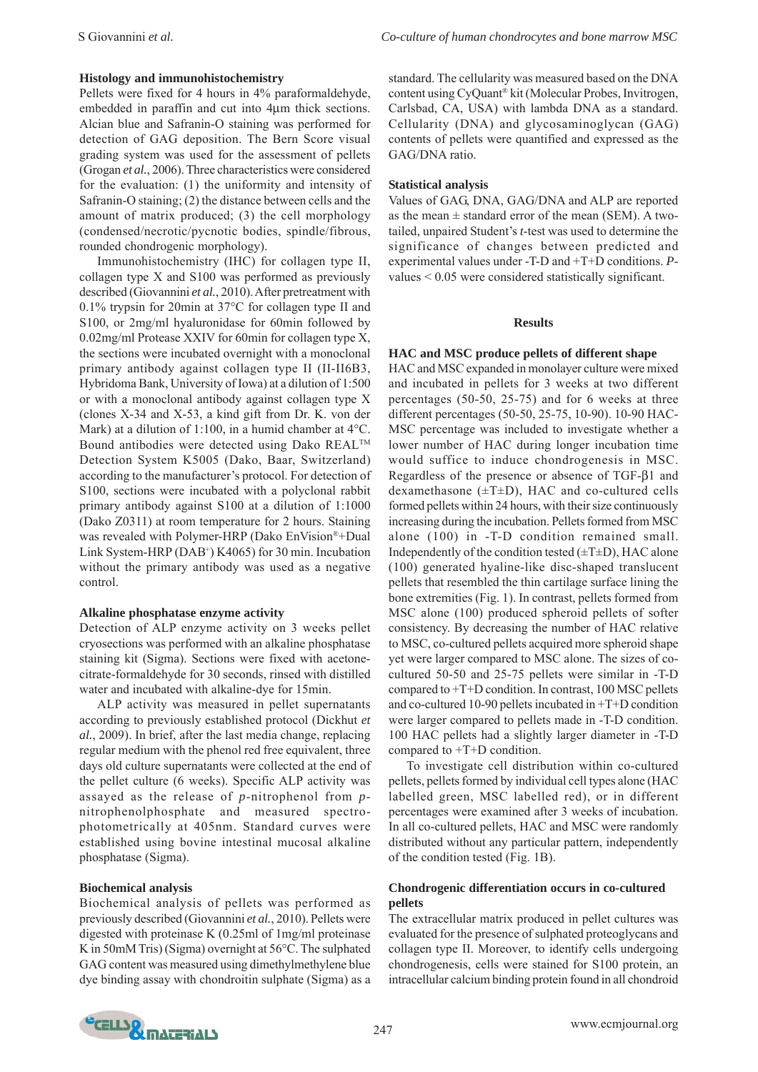#### **Histology and immunohistochemistry**

Pellets were fixed for 4 hours in 4% paraformaldehyde, embedded in paraffin and cut into 4μm thick sections. Alcian blue and Safranin-O staining was performed for detection of GAG deposition. The Bern Score visual grading system was used for the assessment of pellets (Grogan *et al.*, 2006). Three characteristics were considered for the evaluation: (1) the uniformity and intensity of Safranin-O staining; (2) the distance between cells and the amount of matrix produced; (3) the cell morphology (condensed/necrotic/pycnotic bodies, spindle/fibrous, rounded chondrogenic morphology).

Immunohistochemistry (IHC) for collagen type II, collagen type X and S100 was performed as previously described (Giovannini *et al.*, 2010). After pretreatment with 0.1% trypsin for 20min at 37°C for collagen type II and S100, or 2mg/ml hyaluronidase for 60min followed by 0.02mg/ml Protease XXIV for 60min for collagen type X, the sections were incubated overnight with a monoclonal primary antibody against collagen type II (II-II6B3, Hybridoma Bank, University of Iowa) at a dilution of 1:500 or with a monoclonal antibody against collagen type X (clones X-34 and X-53, a kind gift from Dr. K. von der Mark) at a dilution of 1:100, in a humid chamber at  $4^{\circ}$ C. Bound antibodies were detected using Dako REALTM Detection System K5005 (Dako, Baar, Switzerland) according to the manufacturer's protocol. For detection of S100, sections were incubated with a polyclonal rabbit primary antibody against S100 at a dilution of 1:1000 (Dako Z0311) at room temperature for 2 hours. Staining was revealed with Polymer-HRP (Dako EnVision®+Dual Link System-HRP (DAB<sup>+</sup>) K4065) for 30 min. Incubation without the primary antibody was used as a negative control.

## **Alkaline phosphatase enzyme activity**

Detection of ALP enzyme activity on 3 weeks pellet cryosections was performed with an alkaline phosphatase staining kit (Sigma). Sections were fixed with acetonecitrate-formaldehyde for 30 seconds, rinsed with distilled water and incubated with alkaline-dye for 15min.

ALP activity was measured in pellet supernatants according to previously established protocol (Dickhut *et al.*, 2009). In brief, after the last media change, replacing regular medium with the phenol red free equivalent, three days old culture supernatants were collected at the end of the pellet culture (6 weeks). Specific ALP activity was assayed as the release of *p*-nitrophenol from *p*nitrophenolphosphate and measured spectrophotometrically at 405nm. Standard curves were established using bovine intestinal mucosal alkaline phosphatase (Sigma).

## **Biochemical analysis**

Biochemical analysis of pellets was performed as previously described (Giovannini *et al.*, 2010). Pellets were digested with proteinase K (0.25ml of 1mg/ml proteinase K in 50mM Tris) (Sigma) overnight at 56°C. The sulphated GAG content was measured using dimethylmethylene blue dye binding assay with chondroitin sulphate (Sigma) as a standard. The cellularity was measured based on the DNA content using CyQuant® kit (Molecular Probes, Invitrogen, Carlsbad, CA, USA) with lambda DNA as a standard. Cellularity (DNA) and glycosaminoglycan (GAG) contents of pellets were quantified and expressed as the GAG/DNA ratio.

## **Statistical analysis**

Values of GAG, DNA, GAG/DNA and ALP are reported as the mean  $\pm$  standard error of the mean (SEM). A twotailed, unpaired Student's *t*-test was used to determine the significance of changes between predicted and experimental values under -T-D and +T+D conditions. *P*values < 0.05 were considered statistically significant.

## **Results**

## **HAC and MSC produce pellets of different shape**

HAC and MSC expanded in monolayer culture were mixed and incubated in pellets for 3 weeks at two different percentages (50-50, 25-75) and for 6 weeks at three different percentages (50-50, 25-75, 10-90). 10-90 HAC-MSC percentage was included to investigate whether a lower number of HAC during longer incubation time would suffice to induce chondrogenesis in MSC. Regardless of the presence or absence of TGF-β1 and dexamethasone (±T±D), HAC and co-cultured cells formed pellets within 24 hours, with their size continuously increasing during the incubation. Pellets formed from MSC alone (100) in -T-D condition remained small. Independently of the condition tested  $(\pm T \pm D)$ , HAC alone (100) generated hyaline-like disc-shaped translucent pellets that resembled the thin cartilage surface lining the bone extremities (Fig. 1). In contrast, pellets formed from MSC alone (100) produced spheroid pellets of softer consistency. By decreasing the number of HAC relative to MSC, co-cultured pellets acquired more spheroid shape yet were larger compared to MSC alone. The sizes of cocultured 50-50 and 25-75 pellets were similar in -T-D compared to +T+D condition. In contrast, 100 MSC pellets and co-cultured 10-90 pellets incubated in +T+D condition were larger compared to pellets made in -T-D condition. 100 HAC pellets had a slightly larger diameter in -T-D compared to +T+D condition.

To investigate cell distribution within co-cultured pellets, pellets formed by individual cell types alone (HAC labelled green, MSC labelled red), or in different percentages were examined after 3 weeks of incubation. In all co-cultured pellets, HAC and MSC were randomly distributed without any particular pattern, independently of the condition tested (Fig. 1B).

## **Chondrogenic differentiation occurs in co-cultured pellets**

The extracellular matrix produced in pellet cultures was evaluated for the presence of sulphated proteoglycans and collagen type II. Moreover, to identify cells undergoing chondrogenesis, cells were stained for S100 protein, an intracellular calcium binding protein found in all chondroid

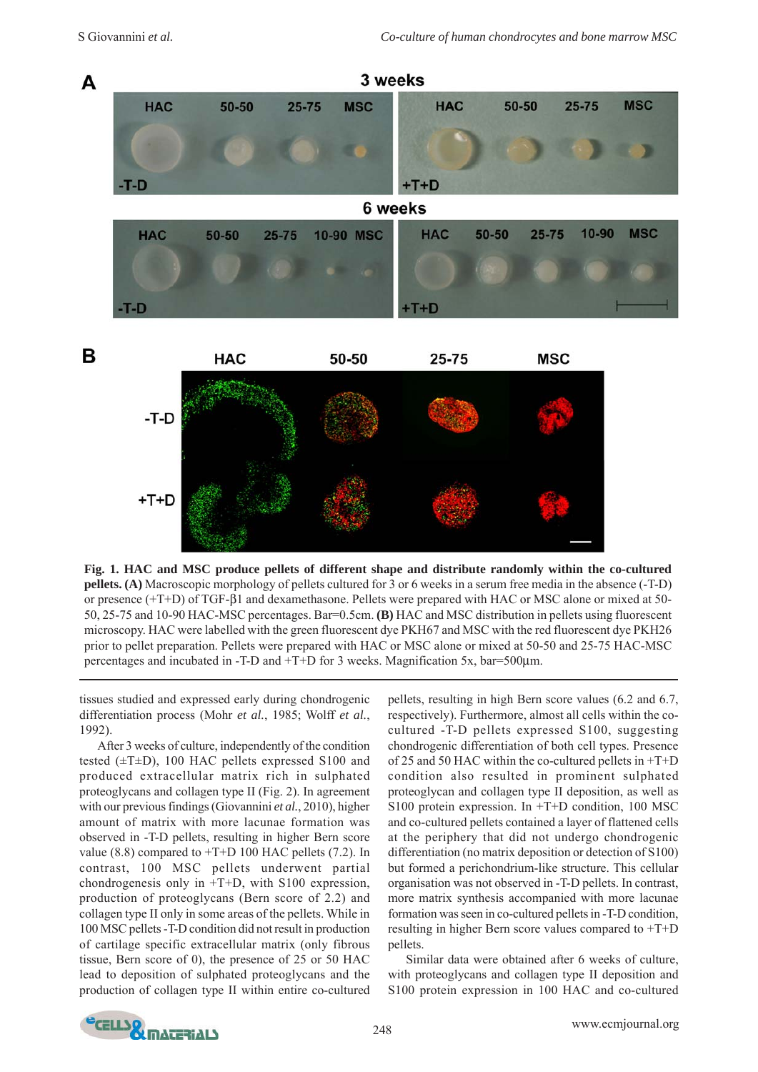

**Fig. 1. HAC and MSC produce pellets of different shape and distribute randomly within the co-cultured pellets. (A)** Macroscopic morphology of pellets cultured for 3 or 6 weeks in a serum free media in the absence (-T-D) or presence (+T+D) of TGF-β1 and dexamethasone. Pellets were prepared with HAC or MSC alone or mixed at 50- 50, 25-75 and 10-90 HAC-MSC percentages. Bar=0.5cm. **(B)** HAC and MSC distribution in pellets using fluorescent microscopy. HAC were labelled with the green fluorescent dye PKH67 and MSC with the red fluorescent dye PKH26 prior to pellet preparation. Pellets were prepared with HAC or MSC alone or mixed at 50-50 and 25-75 HAC-MSC percentages and incubated in -T-D and +T+D for 3 weeks. Magnification 5x, bar=500μm.

tissues studied and expressed early during chondrogenic differentiation process (Mohr *et al.*, 1985; Wolff *et al.*, 1992).

After 3 weeks of culture, independently of the condition tested  $(\pm T \pm D)$ , 100 HAC pellets expressed S100 and produced extracellular matrix rich in sulphated proteoglycans and collagen type II (Fig. 2). In agreement with our previous findings (Giovannini *et al.*, 2010), higher amount of matrix with more lacunae formation was observed in -T-D pellets, resulting in higher Bern score value (8.8) compared to  $+T+D$  100 HAC pellets (7.2). In contrast, 100 MSC pellets underwent partial chondrogenesis only in +T+D, with S100 expression, production of proteoglycans (Bern score of 2.2) and collagen type II only in some areas of the pellets. While in 100 MSC pellets -T-D condition did not result in production of cartilage specific extracellular matrix (only fibrous tissue, Bern score of 0), the presence of 25 or 50 HAC lead to deposition of sulphated proteoglycans and the production of collagen type II within entire co-cultured

pellets, resulting in high Bern score values (6.2 and 6.7, respectively). Furthermore, almost all cells within the cocultured -T-D pellets expressed S100, suggesting chondrogenic differentiation of both cell types. Presence of 25 and 50 HAC within the co-cultured pellets in +T+D condition also resulted in prominent sulphated proteoglycan and collagen type II deposition, as well as S100 protein expression. In +T+D condition, 100 MSC and co-cultured pellets contained a layer of flattened cells at the periphery that did not undergo chondrogenic differentiation (no matrix deposition or detection of S100) but formed a perichondrium-like structure. This cellular organisation was not observed in -T-D pellets. In contrast, more matrix synthesis accompanied with more lacunae formation was seen in co-cultured pellets in -T-D condition, resulting in higher Bern score values compared to +T+D pellets.

Similar data were obtained after 6 weeks of culture, with proteoglycans and collagen type II deposition and S100 protein expression in 100 HAC and co-cultured

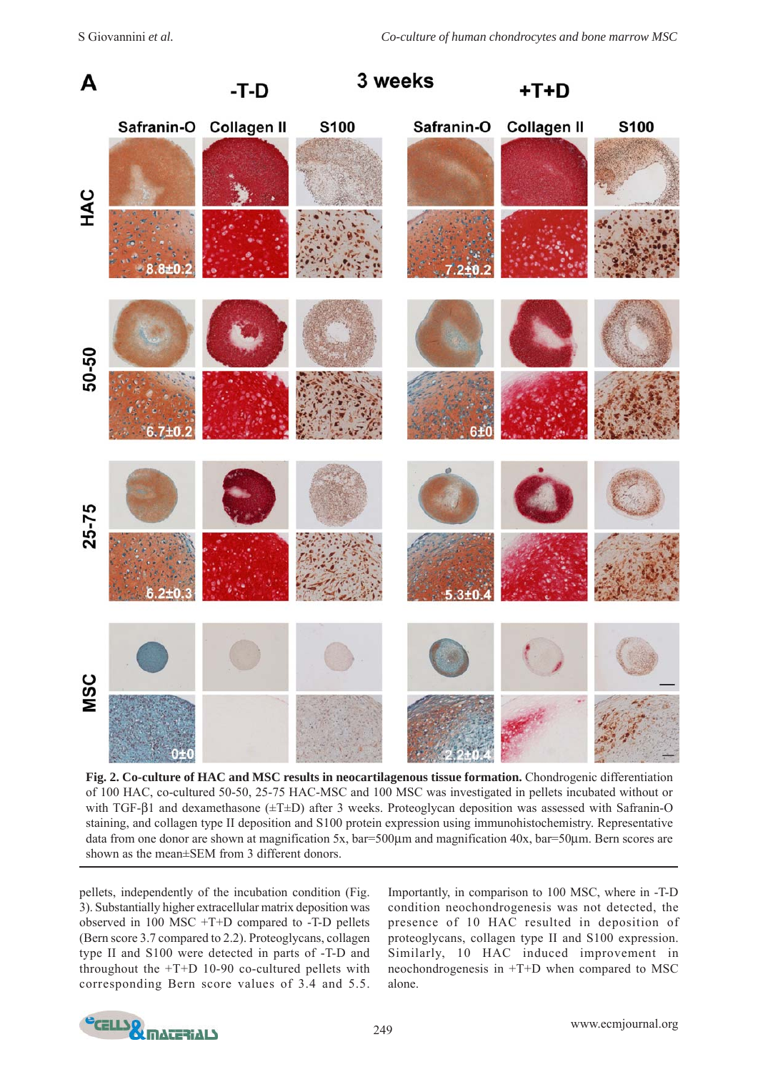

**Fig. 2. Co-culture of HAC and MSC results in neocartilagenous tissue formation.** Chondrogenic differentiation of 100 HAC, co-cultured 50-50, 25-75 HAC-MSC and 100 MSC was investigated in pellets incubated without or with TGF-β1 and dexamethasone (±T±D) after 3 weeks. Proteoglycan deposition was assessed with Safranin-O staining, and collagen type II deposition and S100 protein expression using immunohistochemistry. Representative data from one donor are shown at magnification 5x, bar=500μm and magnification 40x, bar=50μm. Bern scores are shown as the mean±SEM from 3 different donors.

pellets, independently of the incubation condition (Fig. 3). Substantially higher extracellular matrix deposition was observed in 100 MSC +T+D compared to -T-D pellets (Bern score 3.7 compared to 2.2). Proteoglycans, collagen type II and S100 were detected in parts of -T-D and throughout the  $+T+D$  10-90 co-cultured pellets with corresponding Bern score values of 3.4 and 5.5. Importantly, in comparison to 100 MSC, where in -T-D condition neochondrogenesis was not detected, the presence of 10 HAC resulted in deposition of proteoglycans, collagen type II and S100 expression. Similarly, 10 HAC induced improvement in neochondrogenesis in +T+D when compared to MSC alone.

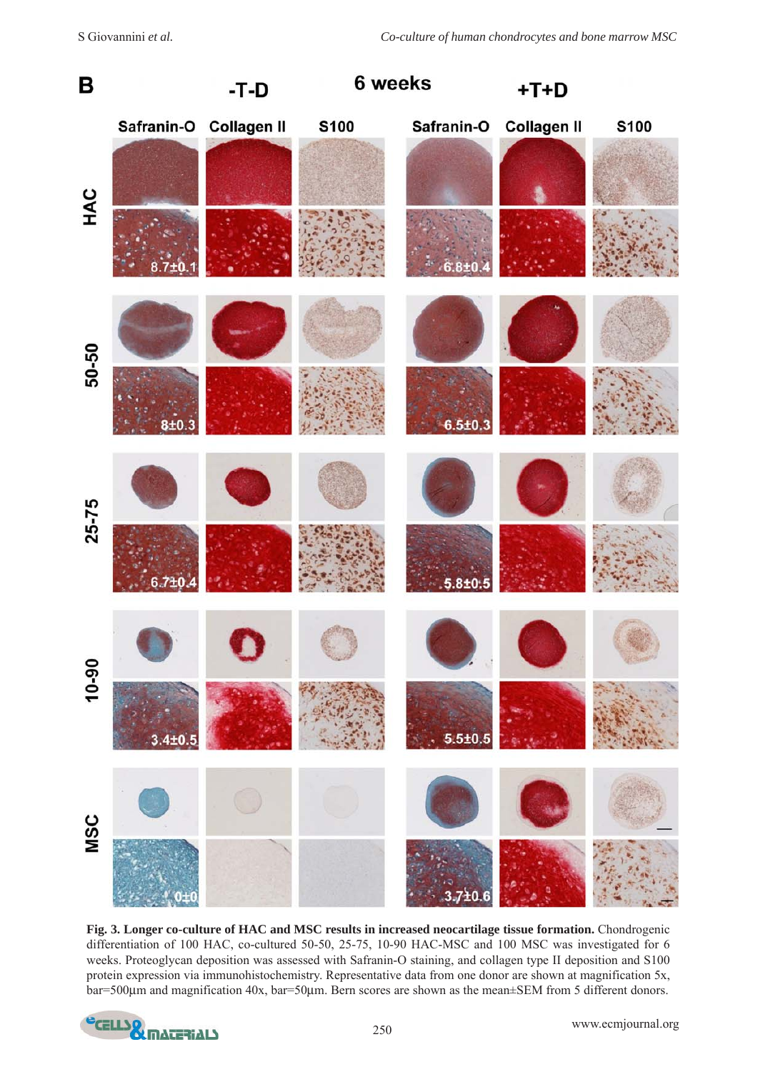

**Fig. 3. Longer co-culture of HAC and MSC results in increased neocartilage tissue formation.** Chondrogenic differentiation of 100 HAC, co-cultured 50-50, 25-75, 10-90 HAC-MSC and 100 MSC was investigated for 6 weeks. Proteoglycan deposition was assessed with Safranin-O staining, and collagen type II deposition and S100 protein expression via immunohistochemistry. Representative data from one donor are shown at magnification 5x, bar=500μm and magnification 40x, bar=50μm. Bern scores are shown as the mean±SEM from 5 different donors.

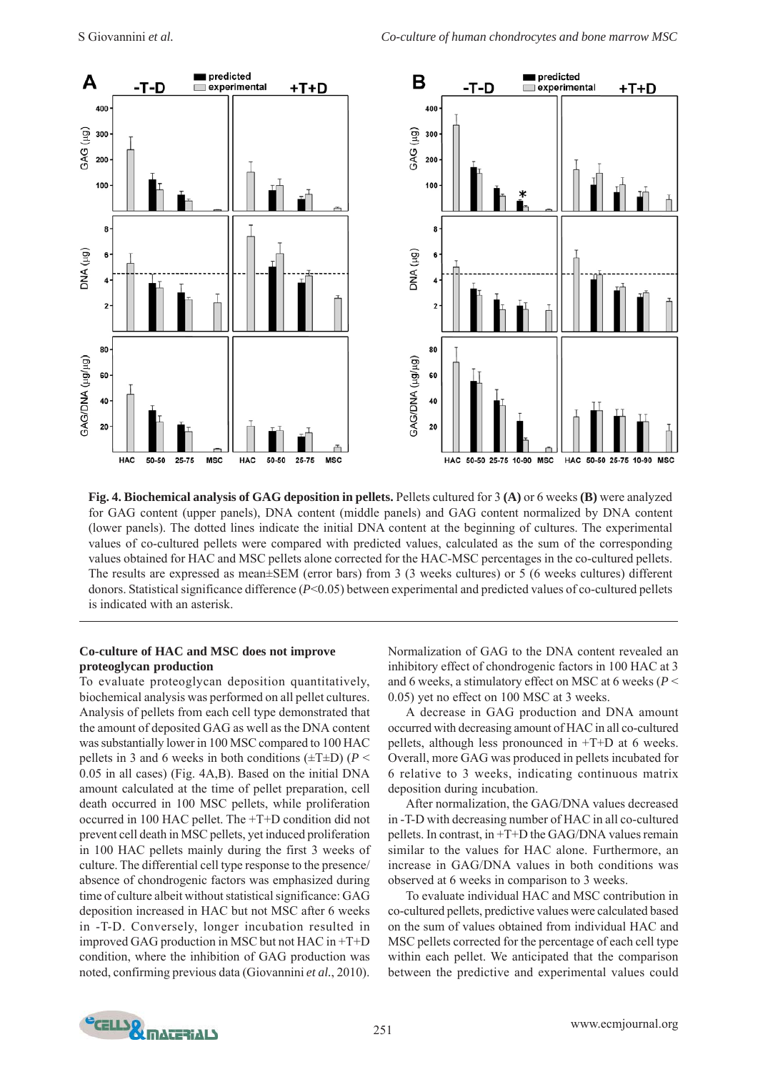

**Fig. 4. Biochemical analysis of GAG deposition in pellets.** Pellets cultured for 3 **(A)** or 6 weeks **(B)** were analyzed for GAG content (upper panels), DNA content (middle panels) and GAG content normalized by DNA content (lower panels). The dotted lines indicate the initial DNA content at the beginning of cultures. The experimental values of co-cultured pellets were compared with predicted values, calculated as the sum of the corresponding values obtained for HAC and MSC pellets alone corrected for the HAC-MSC percentages in the co-cultured pellets. The results are expressed as mean±SEM (error bars) from 3 (3 weeks cultures) or 5 (6 weeks cultures) different donors. Statistical significance difference (*P*<0.05) between experimental and predicted values of co-cultured pellets is indicated with an asterisk.

## **Co-culture of HAC and MSC does not improve proteoglycan production**

To evaluate proteoglycan deposition quantitatively, biochemical analysis was performed on all pellet cultures. Analysis of pellets from each cell type demonstrated that the amount of deposited GAG as well as the DNA content was substantially lower in 100 MSC compared to 100 HAC pellets in 3 and 6 weeks in both conditions  $(\pm T \pm D)$  ( $P$  < 0.05 in all cases) (Fig. 4A,B). Based on the initial DNA amount calculated at the time of pellet preparation, cell death occurred in 100 MSC pellets, while proliferation occurred in 100 HAC pellet. The +T+D condition did not prevent cell death in MSC pellets, yet induced proliferation in 100 HAC pellets mainly during the first 3 weeks of culture. The differential cell type response to the presence/ absence of chondrogenic factors was emphasized during time of culture albeit without statistical significance: GAG deposition increased in HAC but not MSC after 6 weeks in -T-D. Conversely, longer incubation resulted in improved GAG production in MSC but not HAC in +T+D condition, where the inhibition of GAG production was noted, confirming previous data (Giovannini *et al.*, 2010).

Normalization of GAG to the DNA content revealed an inhibitory effect of chondrogenic factors in 100 HAC at 3 and 6 weeks, a stimulatory effect on MSC at 6 weeks (*P* < 0.05) yet no effect on 100 MSC at 3 weeks.

A decrease in GAG production and DNA amount occurred with decreasing amount of HAC in all co-cultured pellets, although less pronounced in +T+D at 6 weeks. Overall, more GAG was produced in pellets incubated for 6 relative to 3 weeks, indicating continuous matrix deposition during incubation.

After normalization, the GAG/DNA values decreased in -T-D with decreasing number of HAC in all co-cultured pellets. In contrast, in +T+D the GAG/DNA values remain similar to the values for HAC alone. Furthermore, an increase in GAG/DNA values in both conditions was observed at 6 weeks in comparison to 3 weeks.

To evaluate individual HAC and MSC contribution in co-cultured pellets, predictive values were calculated based on the sum of values obtained from individual HAC and MSC pellets corrected for the percentage of each cell type within each pellet. We anticipated that the comparison between the predictive and experimental values could

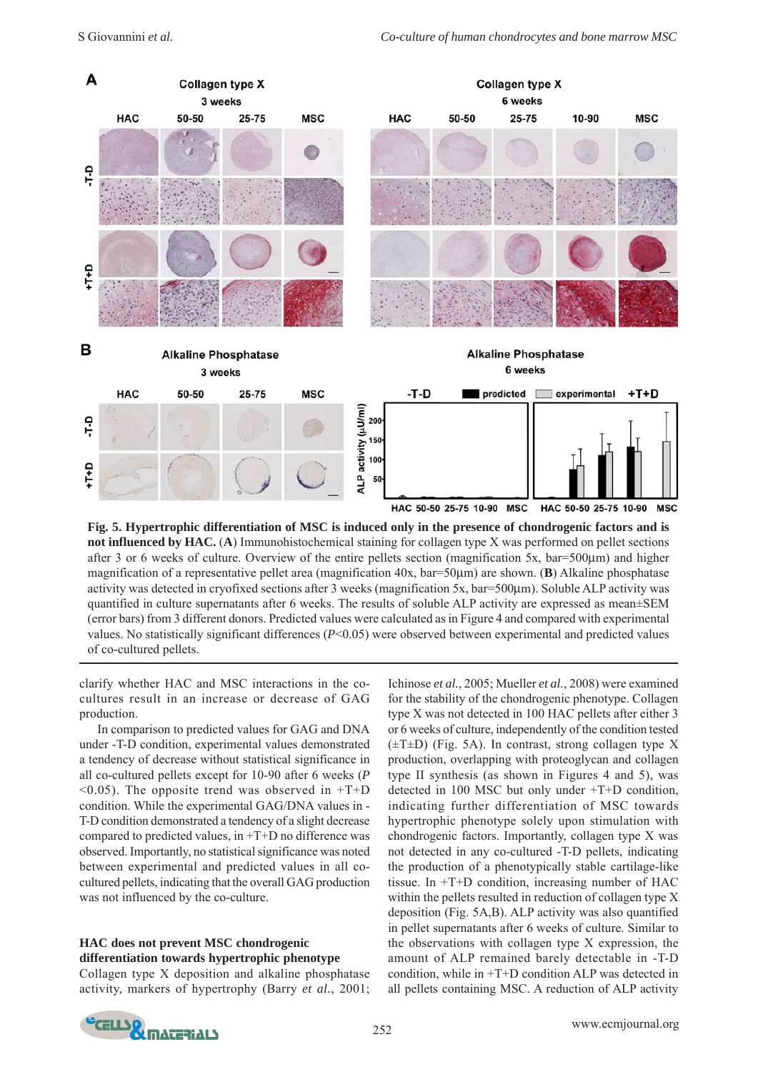

**Fig. 5. Hypertrophic differentiation of MSC is induced only in the presence of chondrogenic factors and is not influenced by HAC.** (**A**) Immunohistochemical staining for collagen type X was performed on pellet sections after 3 or 6 weeks of culture. Overview of the entire pellets section (magnification 5x, bar=500μm) and higher magnification of a representative pellet area (magnification 40x, bar=50μm) are shown. (**B**) Alkaline phosphatase activity was detected in cryofixed sections after 3 weeks (magnification 5x, bar=500μm). Soluble ALP activity was quantified in culture supernatants after 6 weeks. The results of soluble ALP activity are expressed as mean±SEM (error bars) from 3 different donors. Predicted values were calculated as in Figure 4 and compared with experimental values. No statistically significant differences (*P*<0.05) were observed between experimental and predicted values of co-cultured pellets.

clarify whether HAC and MSC interactions in the cocultures result in an increase or decrease of GAG production.

In comparison to predicted values for GAG and DNA under -T-D condition, experimental values demonstrated a tendency of decrease without statistical significance in all co-cultured pellets except for 10-90 after 6 weeks (*P*  $\leq$ 0.05). The opposite trend was observed in  $+T+D$ condition. While the experimental GAG/DNA values in - T-D condition demonstrated a tendency of a slight decrease compared to predicted values, in +T+D no difference was observed. Importantly, no statistical significance was noted between experimental and predicted values in all cocultured pellets, indicating that the overall GAG production was not influenced by the co-culture.

# **HAC does not prevent MSC chondrogenic differentiation towards hypertrophic phenotype**

Collagen type X deposition and alkaline phosphatase activity, markers of hypertrophy (Barry *et al.*, 2001; Ichinose *et al.*, 2005; Mueller *et al.*, 2008) were examined for the stability of the chondrogenic phenotype. Collagen type X was not detected in 100 HAC pellets after either 3 or 6 weeks of culture, independently of the condition tested  $(\pm T \pm D)$  (Fig. 5A). In contrast, strong collagen type X production, overlapping with proteoglycan and collagen type II synthesis (as shown in Figures 4 and 5), was detected in 100 MSC but only under +T+D condition, indicating further differentiation of MSC towards hypertrophic phenotype solely upon stimulation with chondrogenic factors. Importantly, collagen type X was not detected in any co-cultured -T-D pellets, indicating the production of a phenotypically stable cartilage-like tissue. In +T+D condition, increasing number of HAC within the pellets resulted in reduction of collagen type X deposition (Fig. 5A,B). ALP activity was also quantified in pellet supernatants after 6 weeks of culture. Similar to the observations with collagen type X expression, the amount of ALP remained barely detectable in -T-D condition, while in +T+D condition ALP was detected in all pellets containing MSC. A reduction of ALP activity

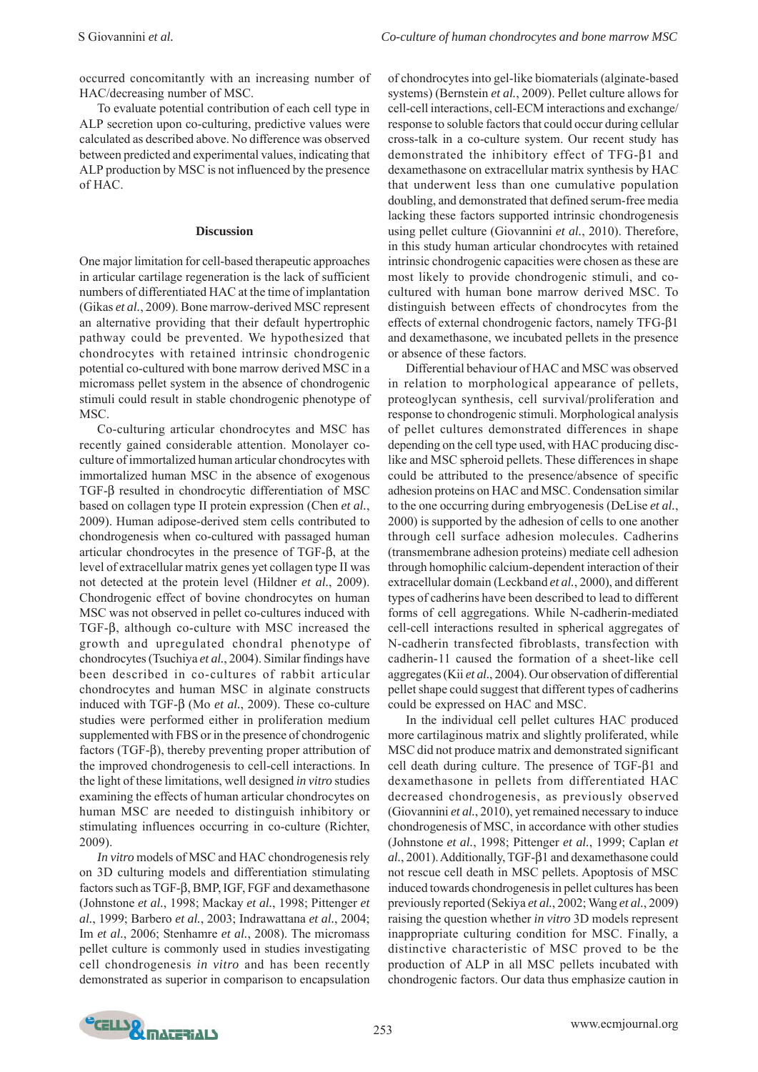occurred concomitantly with an increasing number of HAC/decreasing number of MSC.

To evaluate potential contribution of each cell type in ALP secretion upon co-culturing, predictive values were calculated as described above. No difference was observed between predicted and experimental values, indicating that ALP production by MSC is not influenced by the presence of HAC.

#### **Discussion**

One major limitation for cell-based therapeutic approaches in articular cartilage regeneration is the lack of sufficient numbers of differentiated HAC at the time of implantation (Gikas *et al.*, 2009). Bone marrow-derived MSC represent an alternative providing that their default hypertrophic pathway could be prevented. We hypothesized that chondrocytes with retained intrinsic chondrogenic potential co-cultured with bone marrow derived MSC in a micromass pellet system in the absence of chondrogenic stimuli could result in stable chondrogenic phenotype of MSC.

Co-culturing articular chondrocytes and MSC has recently gained considerable attention. Monolayer coculture of immortalized human articular chondrocytes with immortalized human MSC in the absence of exogenous TGF-β resulted in chondrocytic differentiation of MSC based on collagen type II protein expression (Chen *et al.*, 2009). Human adipose-derived stem cells contributed to chondrogenesis when co-cultured with passaged human articular chondrocytes in the presence of TGF-β, at the level of extracellular matrix genes yet collagen type II was not detected at the protein level (Hildner *et al.*, 2009). Chondrogenic effect of bovine chondrocytes on human MSC was not observed in pellet co-cultures induced with TGF-β, although co-culture with MSC increased the growth and upregulated chondral phenotype of chondrocytes (Tsuchiya *et al.*, 2004). Similar findings have been described in co-cultures of rabbit articular chondrocytes and human MSC in alginate constructs induced with TGF-β (Mo *et al.*, 2009). These co-culture studies were performed either in proliferation medium supplemented with FBS or in the presence of chondrogenic factors (TGF-β), thereby preventing proper attribution of the improved chondrogenesis to cell-cell interactions. In the light of these limitations, well designed *in vitro* studies examining the effects of human articular chondrocytes on human MSC are needed to distinguish inhibitory or stimulating influences occurring in co-culture (Richter, 2009).

*In vitro* models of MSC and HAC chondrogenesis rely on 3D culturing models and differentiation stimulating factors such as TGF-β, BMP, IGF, FGF and dexamethasone (Johnstone *et al.*, 1998; Mackay *et al.*, 1998; Pittenger *et al.*, 1999; Barbero *et al.*, 2003; Indrawattana *et al.*, 2004; Im *et al.*, 2006; Stenhamre *et al.*, 2008). The micromass pellet culture is commonly used in studies investigating cell chondrogenesis *in vitro* and has been recently demonstrated as superior in comparison to encapsulation of chondrocytes into gel-like biomaterials (alginate-based systems) (Bernstein *et al.*, 2009). Pellet culture allows for cell-cell interactions, cell-ECM interactions and exchange/ response to soluble factors that could occur during cellular cross-talk in a co-culture system. Our recent study has demonstrated the inhibitory effect of TFG-β1 and dexamethasone on extracellular matrix synthesis by HAC that underwent less than one cumulative population doubling, and demonstrated that defined serum-free media lacking these factors supported intrinsic chondrogenesis using pellet culture (Giovannini *et al.*, 2010). Therefore, in this study human articular chondrocytes with retained intrinsic chondrogenic capacities were chosen as these are most likely to provide chondrogenic stimuli, and cocultured with human bone marrow derived MSC. To distinguish between effects of chondrocytes from the effects of external chondrogenic factors, namely TFG-β1 and dexamethasone, we incubated pellets in the presence or absence of these factors.

Differential behaviour of HAC and MSC was observed in relation to morphological appearance of pellets, proteoglycan synthesis, cell survival/proliferation and response to chondrogenic stimuli. Morphological analysis of pellet cultures demonstrated differences in shape depending on the cell type used, with HAC producing disclike and MSC spheroid pellets. These differences in shape could be attributed to the presence/absence of specific adhesion proteins on HAC and MSC. Condensation similar to the one occurring during embryogenesis (DeLise *et al.*, 2000) is supported by the adhesion of cells to one another through cell surface adhesion molecules. Cadherins (transmembrane adhesion proteins) mediate cell adhesion through homophilic calcium-dependent interaction of their extracellular domain (Leckband *et al.*, 2000), and different types of cadherins have been described to lead to different forms of cell aggregations. While N-cadherin-mediated cell-cell interactions resulted in spherical aggregates of N-cadherin transfected fibroblasts, transfection with cadherin-11 caused the formation of a sheet-like cell aggregates (Kii *et al.*, 2004). Our observation of differential pellet shape could suggest that different types of cadherins could be expressed on HAC and MSC.

In the individual cell pellet cultures HAC produced more cartilaginous matrix and slightly proliferated, while MSC did not produce matrix and demonstrated significant cell death during culture. The presence of TGF-β1 and dexamethasone in pellets from differentiated HAC decreased chondrogenesis, as previously observed (Giovannini *et al.*, 2010), yet remained necessary to induce chondrogenesis of MSC, in accordance with other studies (Johnstone *et al.*, 1998; Pittenger *et al.*, 1999; Caplan *et al.*, 2001). Additionally, TGF-β1 and dexamethasone could not rescue cell death in MSC pellets. Apoptosis of MSC induced towards chondrogenesis in pellet cultures has been previously reported (Sekiya *et al.*, 2002; Wang *et al.*, 2009) raising the question whether *in vitro* 3D models represent inappropriate culturing condition for MSC. Finally, a distinctive characteristic of MSC proved to be the production of ALP in all MSC pellets incubated with chondrogenic factors. Our data thus emphasize caution in

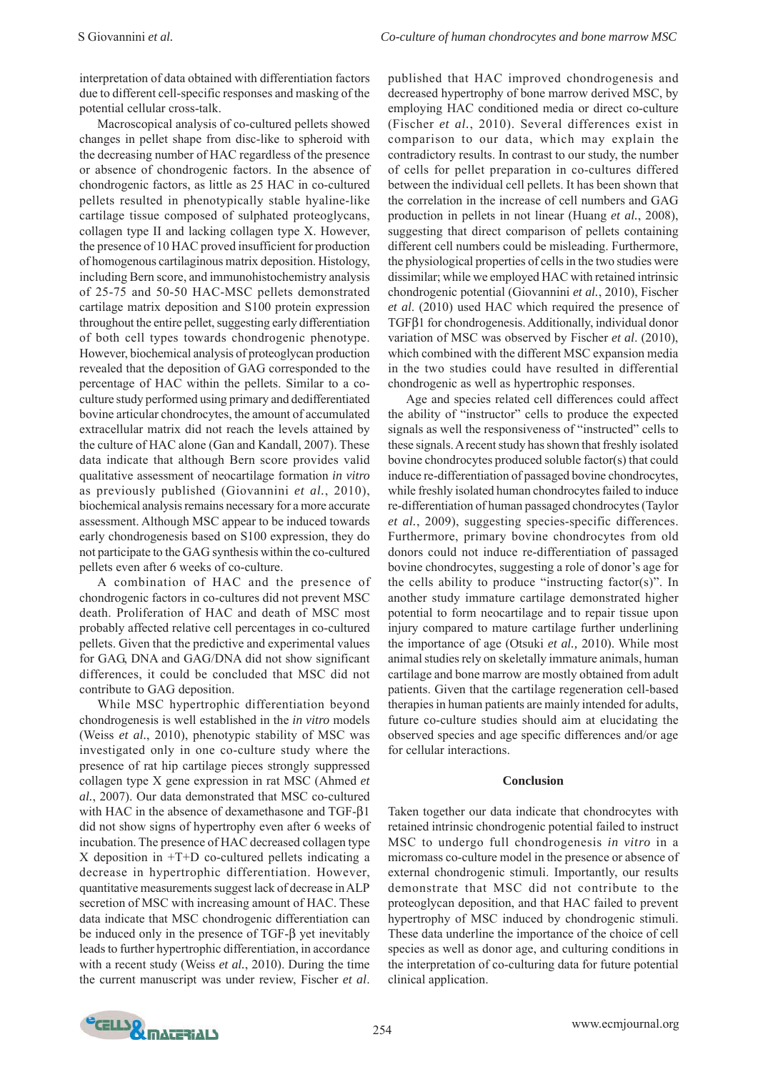interpretation of data obtained with differentiation factors due to different cell-specific responses and masking of the potential cellular cross-talk.

Macroscopical analysis of co-cultured pellets showed changes in pellet shape from disc-like to spheroid with the decreasing number of HAC regardless of the presence or absence of chondrogenic factors. In the absence of chondrogenic factors, as little as 25 HAC in co-cultured pellets resulted in phenotypically stable hyaline-like cartilage tissue composed of sulphated proteoglycans, collagen type II and lacking collagen type X. However, the presence of 10 HAC proved insufficient for production of homogenous cartilaginous matrix deposition. Histology, including Bern score, and immunohistochemistry analysis of 25-75 and 50-50 HAC-MSC pellets demonstrated cartilage matrix deposition and S100 protein expression throughout the entire pellet, suggesting early differentiation of both cell types towards chondrogenic phenotype. However, biochemical analysis of proteoglycan production revealed that the deposition of GAG corresponded to the percentage of HAC within the pellets. Similar to a coculture study performed using primary and dedifferentiated bovine articular chondrocytes, the amount of accumulated extracellular matrix did not reach the levels attained by the culture of HAC alone (Gan and Kandall, 2007). These data indicate that although Bern score provides valid qualitative assessment of neocartilage formation *in vitro* as previously published (Giovannini *et al.*, 2010), biochemical analysis remains necessary for a more accurate assessment. Although MSC appear to be induced towards early chondrogenesis based on S100 expression, they do not participate to the GAG synthesis within the co-cultured pellets even after 6 weeks of co-culture.

A combination of HAC and the presence of chondrogenic factors in co-cultures did not prevent MSC death. Proliferation of HAC and death of MSC most probably affected relative cell percentages in co-cultured pellets. Given that the predictive and experimental values for GAG, DNA and GAG/DNA did not show significant differences, it could be concluded that MSC did not contribute to GAG deposition.

While MSC hypertrophic differentiation beyond chondrogenesis is well established in the *in vitro* models (Weiss *et al.*, 2010), phenotypic stability of MSC was investigated only in one co-culture study where the presence of rat hip cartilage pieces strongly suppressed collagen type X gene expression in rat MSC (Ahmed *et al.*, 2007). Our data demonstrated that MSC co-cultured with HAC in the absence of dexamethasone and TGF-β1 did not show signs of hypertrophy even after 6 weeks of incubation. The presence of HAC decreased collagen type X deposition in +T+D co-cultured pellets indicating a decrease in hypertrophic differentiation. However, quantitative measurements suggest lack of decrease in ALP secretion of MSC with increasing amount of HAC. These data indicate that MSC chondrogenic differentiation can be induced only in the presence of TGF-β yet inevitably leads to further hypertrophic differentiation, in accordance with a recent study (Weiss *et al.*, 2010). During the time the current manuscript was under review, Fischer *et al*. published that HAC improved chondrogenesis and decreased hypertrophy of bone marrow derived MSC, by employing HAC conditioned media or direct co-culture (Fischer *et al.*, 2010). Several differences exist in comparison to our data, which may explain the contradictory results. In contrast to our study, the number of cells for pellet preparation in co-cultures differed between the individual cell pellets. It has been shown that the correlation in the increase of cell numbers and GAG production in pellets in not linear (Huang *et al.*, 2008), suggesting that direct comparison of pellets containing different cell numbers could be misleading. Furthermore, the physiological properties of cells in the two studies were dissimilar; while we employed HAC with retained intrinsic chondrogenic potential (Giovannini *et al.*, 2010), Fischer *et al*. (2010) used HAC which required the presence of TGFβ1 for chondrogenesis. Additionally, individual donor variation of MSC was observed by Fischer *et al*. (2010), which combined with the different MSC expansion media in the two studies could have resulted in differential chondrogenic as well as hypertrophic responses.

Age and species related cell differences could affect the ability of "instructor" cells to produce the expected signals as well the responsiveness of "instructed" cells to these signals. A recent study has shown that freshly isolated bovine chondrocytes produced soluble factor(s) that could induce re-differentiation of passaged bovine chondrocytes, while freshly isolated human chondrocytes failed to induce re-differentiation of human passaged chondrocytes (Taylor *et al.*, 2009), suggesting species-specific differences. Furthermore, primary bovine chondrocytes from old donors could not induce re-differentiation of passaged bovine chondrocytes, suggesting a role of donor's age for the cells ability to produce "instructing factor(s)". In another study immature cartilage demonstrated higher potential to form neocartilage and to repair tissue upon injury compared to mature cartilage further underlining the importance of age (Otsuki *et al.,* 2010). While most animal studies rely on skeletally immature animals, human cartilage and bone marrow are mostly obtained from adult patients. Given that the cartilage regeneration cell-based therapies in human patients are mainly intended for adults, future co-culture studies should aim at elucidating the observed species and age specific differences and/or age for cellular interactions.

#### **Conclusion**

Taken together our data indicate that chondrocytes with retained intrinsic chondrogenic potential failed to instruct MSC to undergo full chondrogenesis *in vitro* in a micromass co-culture model in the presence or absence of external chondrogenic stimuli. Importantly, our results demonstrate that MSC did not contribute to the proteoglycan deposition, and that HAC failed to prevent hypertrophy of MSC induced by chondrogenic stimuli. These data underline the importance of the choice of cell species as well as donor age, and culturing conditions in the interpretation of co-culturing data for future potential clinical application.

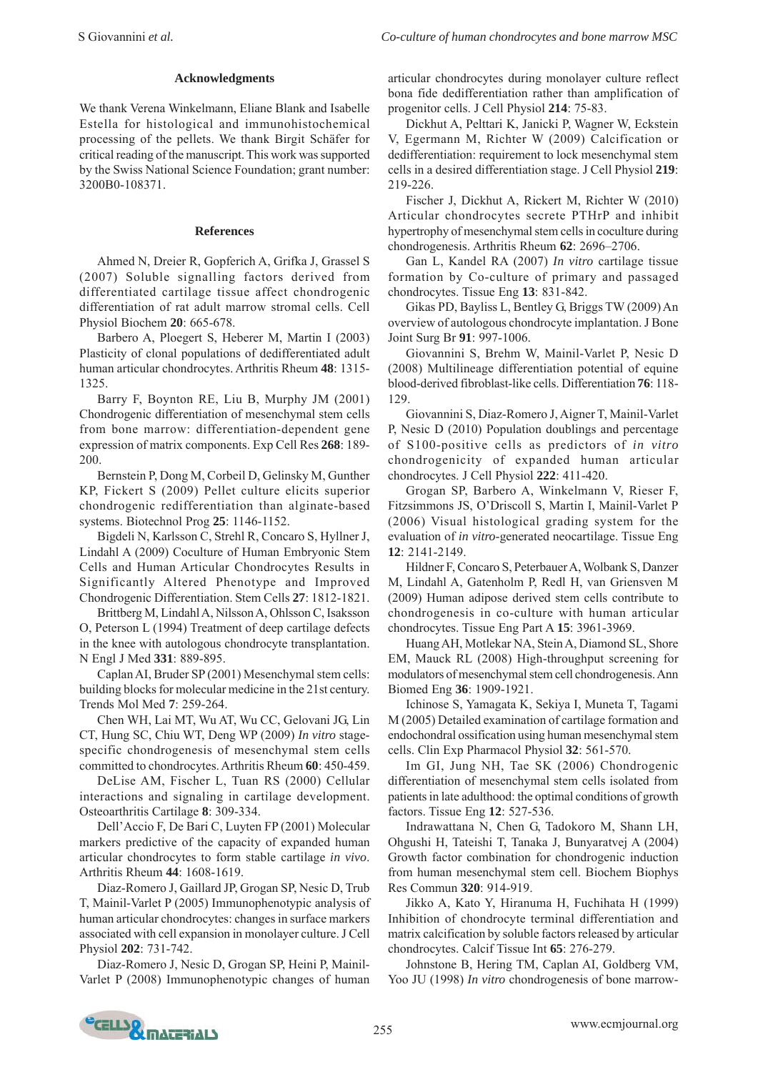#### **Acknowledgments**

We thank Verena Winkelmann, Eliane Blank and Isabelle Estella for histological and immunohistochemical processing of the pellets. We thank Birgit Schäfer for critical reading of the manuscript. This work was supported by the Swiss National Science Foundation; grant number: 3200B0-108371.

#### **References**

Ahmed N, Dreier R, Gopferich A, Grifka J, Grassel S (2007) Soluble signalling factors derived from differentiated cartilage tissue affect chondrogenic differentiation of rat adult marrow stromal cells. Cell Physiol Biochem **20**: 665-678.

Barbero A, Ploegert S, Heberer M, Martin I (2003) Plasticity of clonal populations of dedifferentiated adult human articular chondrocytes. Arthritis Rheum **48**: 1315- 1325.

Barry F, Boynton RE, Liu B, Murphy JM (2001) Chondrogenic differentiation of mesenchymal stem cells from bone marrow: differentiation-dependent gene expression of matrix components. Exp Cell Res **268**: 189- 200.

Bernstein P, Dong M, Corbeil D, Gelinsky M, Gunther KP, Fickert S (2009) Pellet culture elicits superior chondrogenic redifferentiation than alginate-based systems. Biotechnol Prog **25**: 1146-1152.

Bigdeli N, Karlsson C, Strehl R, Concaro S, Hyllner J, Lindahl A (2009) Coculture of Human Embryonic Stem Cells and Human Articular Chondrocytes Results in Significantly Altered Phenotype and Improved Chondrogenic Differentiation. Stem Cells **27**: 1812-1821.

Brittberg M, Lindahl A, Nilsson A, Ohlsson C, Isaksson O, Peterson L (1994) Treatment of deep cartilage defects in the knee with autologous chondrocyte transplantation. N Engl J Med **331**: 889-895.

Caplan AI, Bruder SP (2001) Mesenchymal stem cells: building blocks for molecular medicine in the 21st century. Trends Mol Med **7**: 259-264.

Chen WH, Lai MT, Wu AT, Wu CC, Gelovani JG, Lin CT, Hung SC, Chiu WT, Deng WP (2009) *In vitro* stagespecific chondrogenesis of mesenchymal stem cells committed to chondrocytes. Arthritis Rheum **60**: 450-459.

DeLise AM, Fischer L, Tuan RS (2000) Cellular interactions and signaling in cartilage development. Osteoarthritis Cartilage **8**: 309-334.

Dell'Accio F, De Bari C, Luyten FP (2001) Molecular markers predictive of the capacity of expanded human articular chondrocytes to form stable cartilage *in vivo*. Arthritis Rheum **44**: 1608-1619.

Diaz-Romero J, Gaillard JP, Grogan SP, Nesic D, Trub T, Mainil-Varlet P (2005) Immunophenotypic analysis of human articular chondrocytes: changes in surface markers associated with cell expansion in monolayer culture. J Cell Physiol **202**: 731-742.

Diaz-Romero J, Nesic D, Grogan SP, Heini P, Mainil-Varlet P (2008) Immunophenotypic changes of human articular chondrocytes during monolayer culture reflect bona fide dedifferentiation rather than amplification of progenitor cells. J Cell Physiol **214**: 75-83.

Dickhut A, Pelttari K, Janicki P, Wagner W, Eckstein V, Egermann M, Richter W (2009) Calcification or dedifferentiation: requirement to lock mesenchymal stem cells in a desired differentiation stage. J Cell Physiol **219**: 219-226.

Fischer J, Dickhut A, Rickert M, Richter W (2010) Articular chondrocytes secrete PTHrP and inhibit hypertrophy of mesenchymal stem cells in coculture during chondrogenesis. Arthritis Rheum **62**: 2696–2706.

Gan L, Kandel RA (2007) *In vitro* cartilage tissue formation by Co-culture of primary and passaged chondrocytes. Tissue Eng **13**: 831-842.

Gikas PD, Bayliss L, Bentley G, Briggs TW (2009) An overview of autologous chondrocyte implantation. J Bone Joint Surg Br **91**: 997-1006.

Giovannini S, Brehm W, Mainil-Varlet P, Nesic D (2008) Multilineage differentiation potential of equine blood-derived fibroblast-like cells. Differentiation **76**: 118- 129.

Giovannini S, Diaz-Romero J, Aigner T, Mainil-Varlet P, Nesic D (2010) Population doublings and percentage of S100-positive cells as predictors of *in vitro* chondrogenicity of expanded human articular chondrocytes. J Cell Physiol **222**: 411-420.

Grogan SP, Barbero A, Winkelmann V, Rieser F, Fitzsimmons JS, O'Driscoll S, Martin I, Mainil-Varlet P (2006) Visual histological grading system for the evaluation of *in vitro*-generated neocartilage. Tissue Eng **12**: 2141-2149.

Hildner F, Concaro S, Peterbauer A, Wolbank S, Danzer M, Lindahl A, Gatenholm P, Redl H, van Griensven M (2009) Human adipose derived stem cells contribute to chondrogenesis in co-culture with human articular chondrocytes. Tissue Eng Part A **15**: 3961-3969.

Huang AH, Motlekar NA, Stein A, Diamond SL, Shore EM, Mauck RL (2008) High-throughput screening for modulators of mesenchymal stem cell chondrogenesis. Ann Biomed Eng **36**: 1909-1921.

Ichinose S, Yamagata K, Sekiya I, Muneta T, Tagami M (2005) Detailed examination of cartilage formation and endochondral ossification using human mesenchymal stem cells. Clin Exp Pharmacol Physiol **32**: 561-570.

Im GI, Jung NH, Tae SK (2006) Chondrogenic differentiation of mesenchymal stem cells isolated from patients in late adulthood: the optimal conditions of growth factors. Tissue Eng **12**: 527-536.

Indrawattana N, Chen G, Tadokoro M, Shann LH, Ohgushi H, Tateishi T, Tanaka J, Bunyaratvej A (2004) Growth factor combination for chondrogenic induction from human mesenchymal stem cell. Biochem Biophys Res Commun **320**: 914-919.

Jikko A, Kato Y, Hiranuma H, Fuchihata H (1999) Inhibition of chondrocyte terminal differentiation and matrix calcification by soluble factors released by articular chondrocytes. Calcif Tissue Int **65**: 276-279.

Johnstone B, Hering TM, Caplan AI, Goldberg VM, Yoo JU (1998) *In vitro* chondrogenesis of bone marrow-

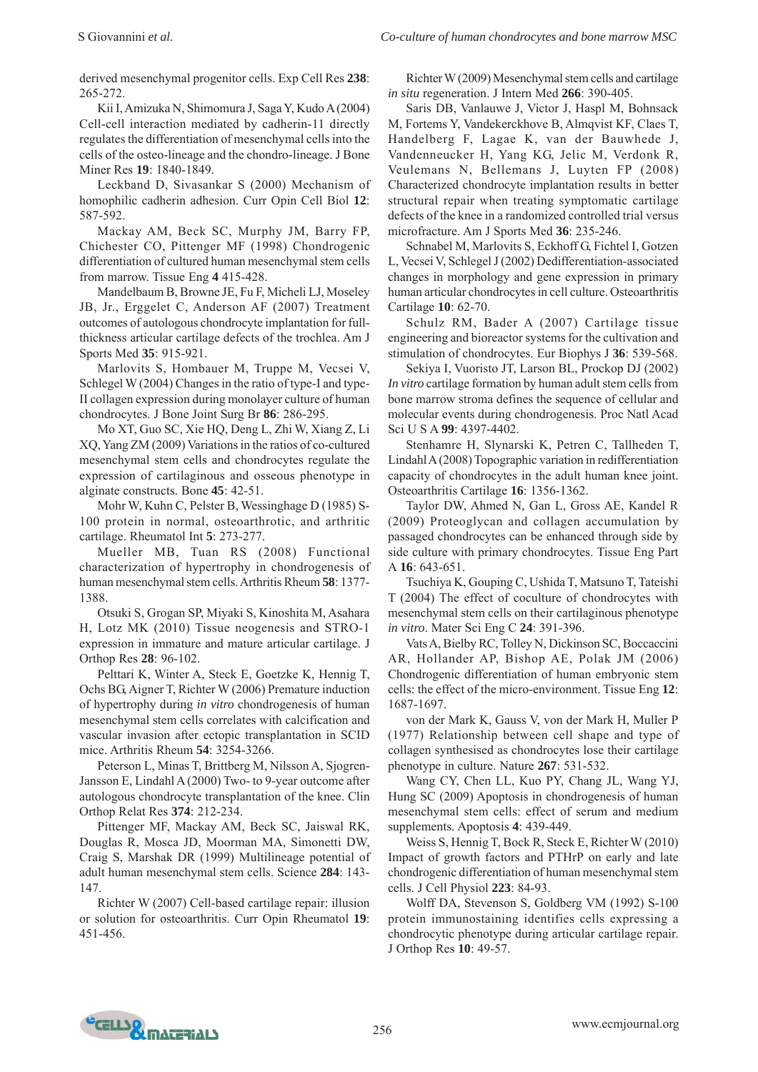derived mesenchymal progenitor cells. Exp Cell Res **238**: 265-272.

Kii I, Amizuka N, Shimomura J, Saga Y, Kudo A (2004) Cell-cell interaction mediated by cadherin-11 directly regulates the differentiation of mesenchymal cells into the cells of the osteo-lineage and the chondro-lineage. J Bone Miner Res **19**: 1840-1849.

Leckband D, Sivasankar S (2000) Mechanism of homophilic cadherin adhesion. Curr Opin Cell Biol **12**: 587-592.

Mackay AM, Beck SC, Murphy JM, Barry FP, Chichester CO, Pittenger MF (1998) Chondrogenic differentiation of cultured human mesenchymal stem cells from marrow. Tissue Eng **4** 415-428.

Mandelbaum B, Browne JE, Fu F, Micheli LJ, Moseley JB, Jr., Erggelet C, Anderson AF (2007) Treatment outcomes of autologous chondrocyte implantation for fullthickness articular cartilage defects of the trochlea. Am J Sports Med **35**: 915-921.

Marlovits S, Hombauer M, Truppe M, Vecsei V, Schlegel W (2004) Changes in the ratio of type-I and type-II collagen expression during monolayer culture of human chondrocytes. J Bone Joint Surg Br **86**: 286-295.

Mo XT, Guo SC, Xie HQ, Deng L, Zhi W, Xiang Z, Li XQ, Yang ZM (2009) Variations in the ratios of co-cultured mesenchymal stem cells and chondrocytes regulate the expression of cartilaginous and osseous phenotype in alginate constructs. Bone **45**: 42-51.

Mohr W, Kuhn C, Pelster B, Wessinghage D (1985) S-100 protein in normal, osteoarthrotic, and arthritic cartilage. Rheumatol Int **5**: 273-277.

Mueller MB, Tuan RS (2008) Functional characterization of hypertrophy in chondrogenesis of human mesenchymal stem cells. Arthritis Rheum **58**: 1377- 1388.

Otsuki S, Grogan SP, Miyaki S, Kinoshita M, Asahara H, Lotz MK (2010) Tissue neogenesis and STRO-1 expression in immature and mature articular cartilage. J Orthop Res **28**: 96-102.

Pelttari K, Winter A, Steck E, Goetzke K, Hennig T, Ochs BG, Aigner T, Richter W (2006) Premature induction of hypertrophy during *in vitro* chondrogenesis of human mesenchymal stem cells correlates with calcification and vascular invasion after ectopic transplantation in SCID mice. Arthritis Rheum **54**: 3254-3266.

Peterson L, Minas T, Brittberg M, Nilsson A, Sjogren-Jansson E, Lindahl A (2000) Two- to 9-year outcome after autologous chondrocyte transplantation of the knee. Clin Orthop Relat Res **374**: 212-234.

Pittenger MF, Mackay AM, Beck SC, Jaiswal RK, Douglas R, Mosca JD, Moorman MA, Simonetti DW, Craig S, Marshak DR (1999) Multilineage potential of adult human mesenchymal stem cells. Science **284**: 143- 147.

Richter W (2007) Cell-based cartilage repair: illusion or solution for osteoarthritis. Curr Opin Rheumatol **19**: 451-456.

Richter W (2009) Mesenchymal stem cells and cartilage *in situ* regeneration. J Intern Med **266**: 390-405.

Saris DB, Vanlauwe J, Victor J, Haspl M, Bohnsack M, Fortems Y, Vandekerckhove B, Almqvist KF, Claes T, Handelberg F, Lagae K, van der Bauwhede J, Vandenneucker H, Yang KG, Jelic M, Verdonk R, Veulemans N, Bellemans J, Luyten FP (2008) Characterized chondrocyte implantation results in better structural repair when treating symptomatic cartilage defects of the knee in a randomized controlled trial versus microfracture. Am J Sports Med **36**: 235-246.

Schnabel M, Marlovits S, Eckhoff G, Fichtel I, Gotzen L, Vecsei V, Schlegel J (2002) Dedifferentiation-associated changes in morphology and gene expression in primary human articular chondrocytes in cell culture. Osteoarthritis Cartilage **10**: 62-70.

Schulz RM, Bader A (2007) Cartilage tissue engineering and bioreactor systems for the cultivation and stimulation of chondrocytes. Eur Biophys J **36**: 539-568.

Sekiya I, Vuoristo JT, Larson BL, Prockop DJ (2002) *In vitro* cartilage formation by human adult stem cells from bone marrow stroma defines the sequence of cellular and molecular events during chondrogenesis. Proc Natl Acad Sci U S A **99**: 4397-4402.

Stenhamre H, Slynarski K, Petren C, Tallheden T, Lindahl A (2008) Topographic variation in redifferentiation capacity of chondrocytes in the adult human knee joint. Osteoarthritis Cartilage **16**: 1356-1362.

Taylor DW, Ahmed N, Gan L, Gross AE, Kandel R (2009) Proteoglycan and collagen accumulation by passaged chondrocytes can be enhanced through side by side culture with primary chondrocytes. Tissue Eng Part A **16**: 643-651.

Tsuchiya K, Gouping C, Ushida T, Matsuno T, Tateishi T (2004) The effect of coculture of chondrocytes with mesenchymal stem cells on their cartilaginous phenotype *in vitro*. Mater Sci Eng C **24**: 391-396.

Vats A, Bielby RC, Tolley N, Dickinson SC, Boccaccini AR, Hollander AP, Bishop AE, Polak JM (2006) Chondrogenic differentiation of human embryonic stem cells: the effect of the micro-environment. Tissue Eng **12**: 1687-1697.

von der Mark K, Gauss V, von der Mark H, Muller P (1977) Relationship between cell shape and type of collagen synthesised as chondrocytes lose their cartilage phenotype in culture. Nature **267**: 531-532.

Wang CY, Chen LL, Kuo PY, Chang JL, Wang YJ, Hung SC (2009) Apoptosis in chondrogenesis of human mesenchymal stem cells: effect of serum and medium supplements. Apoptosis **4**: 439-449.

Weiss S, Hennig T, Bock R, Steck E, Richter W (2010) Impact of growth factors and PTHrP on early and late chondrogenic differentiation of human mesenchymal stem cells. J Cell Physiol **223**: 84-93.

Wolff DA, Stevenson S, Goldberg VM (1992) S-100 protein immunostaining identifies cells expressing a chondrocytic phenotype during articular cartilage repair. J Orthop Res **10**: 49-57.

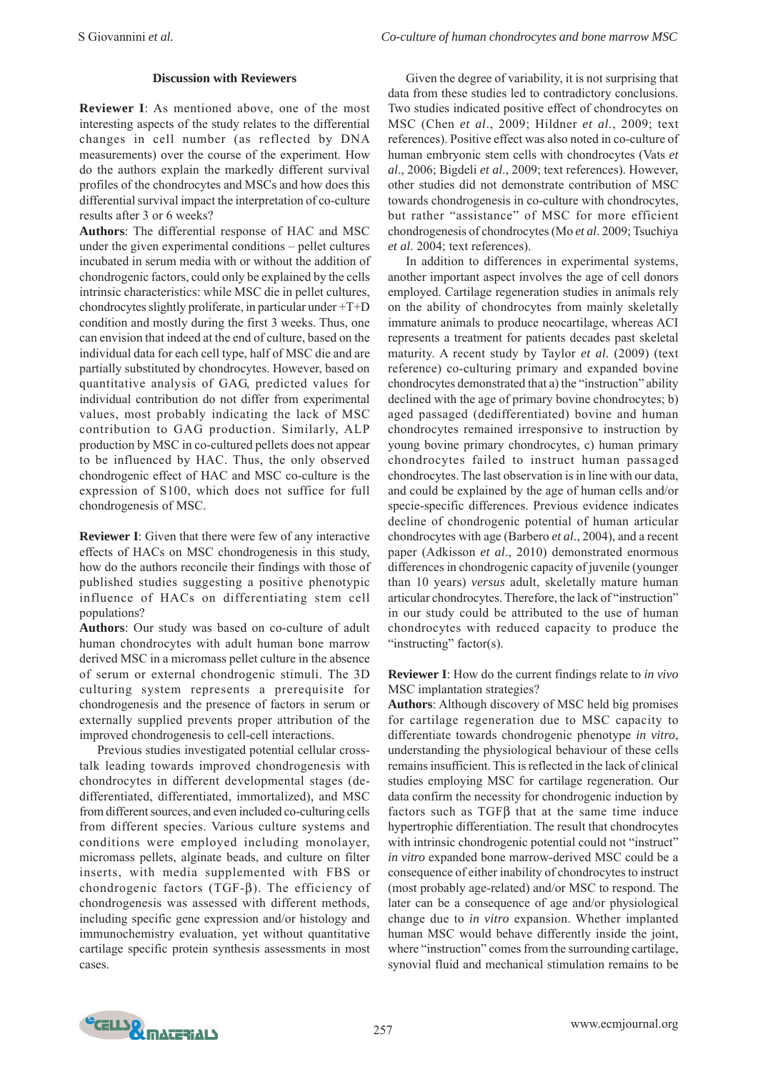## **Discussion with Reviewers**

**Reviewer I**: As mentioned above, one of the most interesting aspects of the study relates to the differential changes in cell number (as reflected by DNA measurements) over the course of the experiment. How do the authors explain the markedly different survival profiles of the chondrocytes and MSCs and how does this differential survival impact the interpretation of co-culture results after 3 or 6 weeks?

**Authors**: The differential response of HAC and MSC under the given experimental conditions – pellet cultures incubated in serum media with or without the addition of chondrogenic factors, could only be explained by the cells intrinsic characteristics: while MSC die in pellet cultures, chondrocytes slightly proliferate, in particular under +T+D condition and mostly during the first 3 weeks. Thus, one can envision that indeed at the end of culture, based on the individual data for each cell type, half of MSC die and are partially substituted by chondrocytes. However, based on quantitative analysis of GAG, predicted values for individual contribution do not differ from experimental values, most probably indicating the lack of MSC contribution to GAG production. Similarly, ALP production by MSC in co-cultured pellets does not appear to be influenced by HAC. Thus, the only observed chondrogenic effect of HAC and MSC co-culture is the expression of S100, which does not suffice for full chondrogenesis of MSC.

**Reviewer I**: Given that there were few of any interactive effects of HACs on MSC chondrogenesis in this study, how do the authors reconcile their findings with those of published studies suggesting a positive phenotypic influence of HACs on differentiating stem cell populations?

**Authors**: Our study was based on co-culture of adult human chondrocytes with adult human bone marrow derived MSC in a micromass pellet culture in the absence of serum or external chondrogenic stimuli. The 3D culturing system represents a prerequisite for chondrogenesis and the presence of factors in serum or externally supplied prevents proper attribution of the improved chondrogenesis to cell-cell interactions.

Previous studies investigated potential cellular crosstalk leading towards improved chondrogenesis with chondrocytes in different developmental stages (dedifferentiated, differentiated, immortalized), and MSC from different sources, and even included co-culturing cells from different species. Various culture systems and conditions were employed including monolayer, micromass pellets, alginate beads, and culture on filter inserts, with media supplemented with FBS or chondrogenic factors  $(TGF- $\beta$ ). The efficiency of$ chondrogenesis was assessed with different methods, including specific gene expression and/or histology and immunochemistry evaluation, yet without quantitative cartilage specific protein synthesis assessments in most cases.

Given the degree of variability, it is not surprising that data from these studies led to contradictory conclusions. Two studies indicated positive effect of chondrocytes on MSC (Chen *et al*., 2009; Hildner *et al*., 2009; text references). Positive effect was also noted in co-culture of human embryonic stem cells with chondrocytes (Vats *et al*., 2006; Bigdeli *et al*., 2009; text references). However, other studies did not demonstrate contribution of MSC towards chondrogenesis in co-culture with chondrocytes, but rather "assistance" of MSC for more efficient chondrogenesis of chondrocytes (Mo *et al*. 2009; Tsuchiya *et al*. 2004; text references).

In addition to differences in experimental systems, another important aspect involves the age of cell donors employed. Cartilage regeneration studies in animals rely on the ability of chondrocytes from mainly skeletally immature animals to produce neocartilage, whereas ACI represents a treatment for patients decades past skeletal maturity. A recent study by Taylor *et al*. (2009) (text reference) co-culturing primary and expanded bovine chondrocytes demonstrated that a) the "instruction" ability declined with the age of primary bovine chondrocytes; b) aged passaged (dedifferentiated) bovine and human chondrocytes remained irresponsive to instruction by young bovine primary chondrocytes, c) human primary chondrocytes failed to instruct human passaged chondrocytes. The last observation is in line with our data, and could be explained by the age of human cells and/or specie-specific differences. Previous evidence indicates decline of chondrogenic potential of human articular chondrocytes with age (Barbero *et al*., 2004), and a recent paper (Adkisson *et al*., 2010) demonstrated enormous differences in chondrogenic capacity of juvenile (younger than 10 years) *versus* adult, skeletally mature human articular chondrocytes. Therefore, the lack of "instruction" in our study could be attributed to the use of human chondrocytes with reduced capacity to produce the "instructing" factor(s).

**Reviewer I**: How do the current findings relate to *in vivo* MSC implantation strategies?

**Authors**: Although discovery of MSC held big promises for cartilage regeneration due to MSC capacity to differentiate towards chondrogenic phenotype *in vitro*, understanding the physiological behaviour of these cells remains insufficient. This is reflected in the lack of clinical studies employing MSC for cartilage regeneration. Our data confirm the necessity for chondrogenic induction by factors such as  $TGF\beta$  that at the same time induce hypertrophic differentiation. The result that chondrocytes with intrinsic chondrogenic potential could not "instruct" *in vitro* expanded bone marrow-derived MSC could be a consequence of either inability of chondrocytes to instruct (most probably age-related) and/or MSC to respond. The later can be a consequence of age and/or physiological change due to *in vitro* expansion. Whether implanted human MSC would behave differently inside the joint, where "instruction" comes from the surrounding cartilage, synovial fluid and mechanical stimulation remains to be

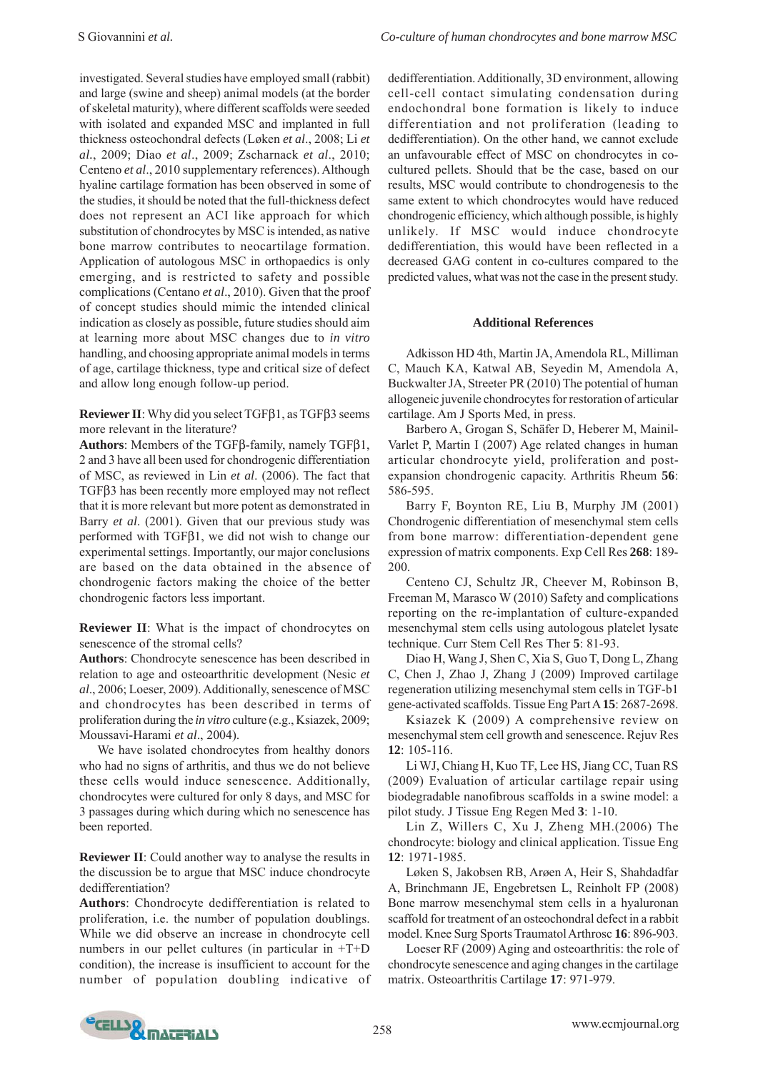investigated. Several studies have employed small (rabbit) and large (swine and sheep) animal models (at the border of skeletal maturity), where different scaffolds were seeded with isolated and expanded MSC and implanted in full thickness osteochondral defects (Løken *et al*., 2008; Li *et al.*, 2009; Diao *et al*., 2009; Zscharnack *et al*., 2010; Centeno *et al*., 2010 supplementary references). Although hyaline cartilage formation has been observed in some of the studies, it should be noted that the full-thickness defect does not represent an ACI like approach for which substitution of chondrocytes by MSC is intended, as native bone marrow contributes to neocartilage formation. Application of autologous MSC in orthopaedics is only emerging, and is restricted to safety and possible complications (Centano *et al*., 2010). Given that the proof of concept studies should mimic the intended clinical indication as closely as possible, future studies should aim at learning more about MSC changes due to *in vitro* handling, and choosing appropriate animal models in terms of age, cartilage thickness, type and critical size of defect and allow long enough follow-up period.

**Reviewer II**: Why did you select TGFβ1, as TGFβ3 seems more relevant in the literature?

**Authors**: Members of the TGFβ-family, namely TGFβ1, 2 and 3 have all been used for chondrogenic differentiation of MSC, as reviewed in Lin *et al*. (2006). The fact that TGFβ3 has been recently more employed may not reflect that it is more relevant but more potent as demonstrated in Barry *et al*. (2001). Given that our previous study was performed with TGFβ1, we did not wish to change our experimental settings. Importantly, our major conclusions are based on the data obtained in the absence of chondrogenic factors making the choice of the better chondrogenic factors less important.

**Reviewer II**: What is the impact of chondrocytes on senescence of the stromal cells?

**Authors**: Chondrocyte senescence has been described in relation to age and osteoarthritic development (Nesic *et al*., 2006; Loeser, 2009). Additionally, senescence of MSC and chondrocytes has been described in terms of proliferation during the *in vitro* culture (e.g., Ksiazek, 2009; Moussavi-Harami *et al*., 2004).

We have isolated chondrocytes from healthy donors who had no signs of arthritis, and thus we do not believe these cells would induce senescence. Additionally, chondrocytes were cultured for only 8 days, and MSC for 3 passages during which during which no senescence has been reported.

**Reviewer II**: Could another way to analyse the results in the discussion be to argue that MSC induce chondrocyte dedifferentiation?

**Authors**: Chondrocyte dedifferentiation is related to proliferation, i.e. the number of population doublings. While we did observe an increase in chondrocyte cell numbers in our pellet cultures (in particular in +T+D condition), the increase is insufficient to account for the number of population doubling indicative of dedifferentiation. Additionally, 3D environment, allowing cell-cell contact simulating condensation during endochondral bone formation is likely to induce differentiation and not proliferation (leading to dedifferentiation). On the other hand, we cannot exclude an unfavourable effect of MSC on chondrocytes in cocultured pellets. Should that be the case, based on our results, MSC would contribute to chondrogenesis to the same extent to which chondrocytes would have reduced chondrogenic efficiency, which although possible, is highly unlikely. If MSC would induce chondrocyte dedifferentiation, this would have been reflected in a decreased GAG content in co-cultures compared to the predicted values, what was not the case in the present study.

#### **Additional References**

Adkisson HD 4th, Martin JA, Amendola RL, Milliman C, Mauch KA, Katwal AB, Seyedin M, Amendola A, Buckwalter JA, Streeter PR (2010) The potential of human allogeneic juvenile chondrocytes for restoration of articular cartilage. Am J Sports Med, in press.

Barbero A, Grogan S, Schäfer D, Heberer M, Mainil-Varlet P, Martin I (2007) Age related changes in human articular chondrocyte yield, proliferation and postexpansion chondrogenic capacity. Arthritis Rheum **56**: 586-595.

Barry F, Boynton RE, Liu B, Murphy JM (2001) Chondrogenic differentiation of mesenchymal stem cells from bone marrow: differentiation-dependent gene expression of matrix components. Exp Cell Res **268**: 189- 200.

Centeno CJ, Schultz JR, Cheever M, Robinson B, Freeman M, Marasco W (2010) Safety and complications reporting on the re-implantation of culture-expanded mesenchymal stem cells using autologous platelet lysate technique. Curr Stem Cell Res Ther **5**: 81-93.

Diao H, Wang J, Shen C, Xia S, Guo T, Dong L, Zhang C, Chen J, Zhao J, Zhang J (2009) Improved cartilage regeneration utilizing mesenchymal stem cells in TGF-b1 gene-activated scaffolds. Tissue Eng Part A **15**: 2687-2698.

Ksiazek K (2009) A comprehensive review on mesenchymal stem cell growth and senescence. Rejuv Res **12**: 105-116.

Li WJ, Chiang H, Kuo TF, Lee HS, Jiang CC, Tuan RS (2009) Evaluation of articular cartilage repair using biodegradable nanofibrous scaffolds in a swine model: a pilot study. J Tissue Eng Regen Med **3**: 1-10.

Lin Z, Willers C, Xu J, Zheng MH.(2006) The chondrocyte: biology and clinical application. Tissue Eng **12**: 1971-1985.

Løken S, Jakobsen RB, Arøen A, Heir S, Shahdadfar A, Brinchmann JE, Engebretsen L, Reinholt FP (2008) Bone marrow mesenchymal stem cells in a hyaluronan scaffold for treatment of an osteochondral defect in a rabbit model. Knee Surg Sports Traumatol Arthrosc **16**: 896-903.

Loeser RF (2009) Aging and osteoarthritis: the role of chondrocyte senescence and aging changes in the cartilage matrix. Osteoarthritis Cartilage **17**: 971-979.